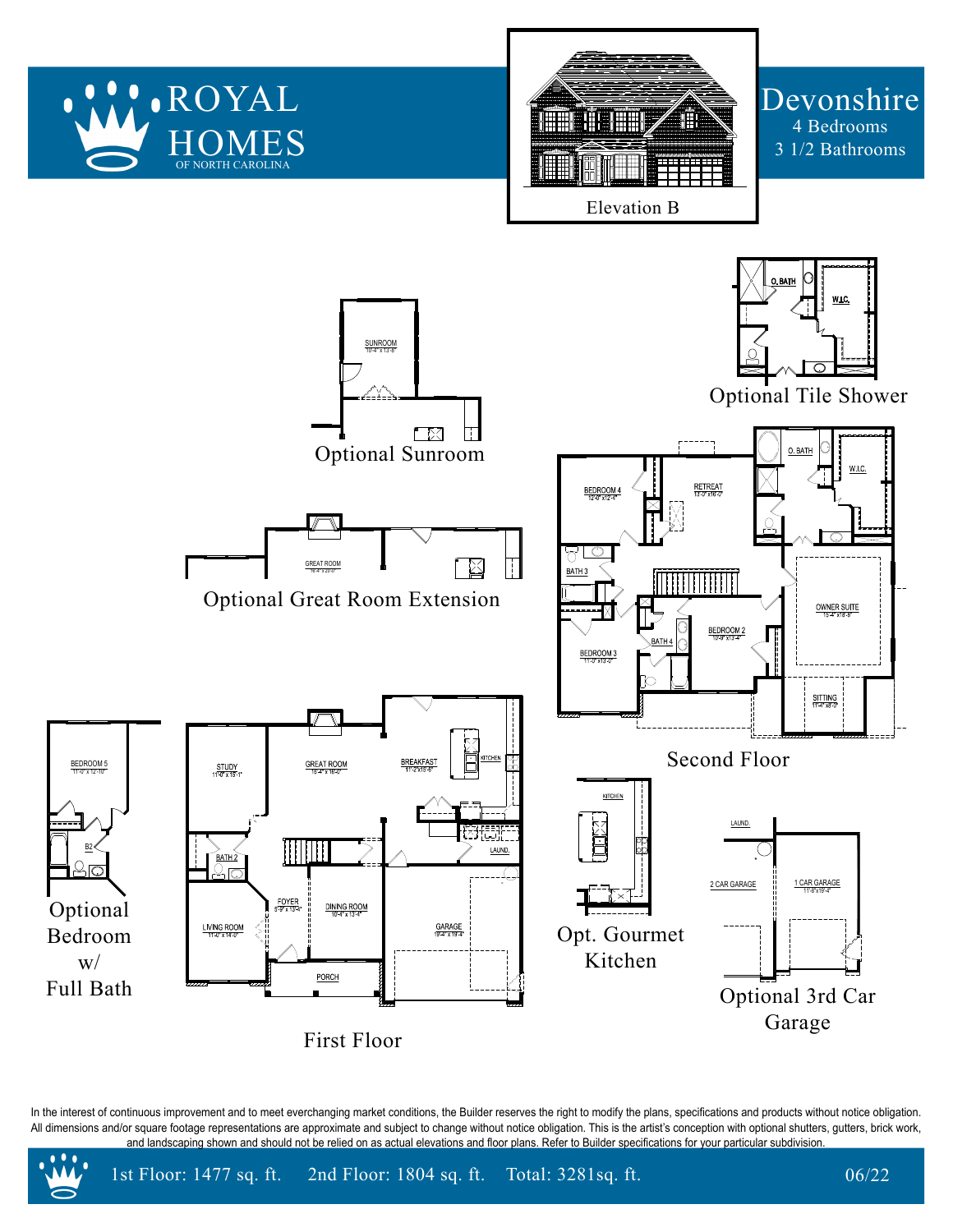

In the interest of continuous improvement and to meet everchanging market conditions, the Builder reserves the right to modify the plans, specifications and products without notice obligation. All dimensions and/or square footage representations are approximate and subject to change without notice obligation. This is the artist's conception with optional shutters, gutters, brick work, and landscaping shown and should not be relied on as actual elevations and floor plans. Refer to Builder specifications for your particular subdivision.